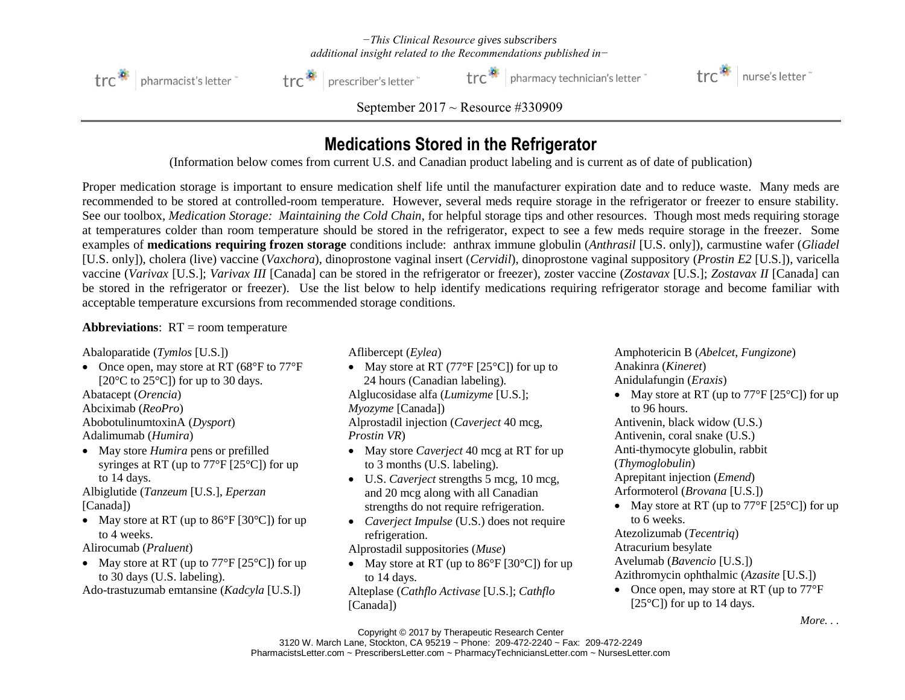*−This Clinical Resource gives subscribers additional insight related to the Recommendations published in−*



trc<sup>3</sup> | prescriber's letter

trc<sup>2</sup> pharmacy technician's letter



*September 2017 ~ Resource #330909*

## **Medications Stored in the Refrigerator**

(Information below comes from current U.S. and Canadian product labeling and is current as of date of publication)

Proper medication storage is important to ensure medication shelf life until the manufacturer expiration date and to reduce waste. Many meds are recommended to be stored at controlled-room temperature. However, several meds require storage in the refrigerator or freezer to ensure stability. See our toolbox, *Medication Storage: Maintaining the Cold Chain*, for helpful storage tips and other resources. Though most meds requiring storage at temperatures colder than room temperature should be stored in the refrigerator, expect to see a few meds require storage in the freezer. Some examples of **medications requiring frozen storage** conditions include: anthrax immune globulin (*Anthrasil* [U.S. only]), carmustine wafer (*Gliadel* [U.S. only]), cholera (live) vaccine (*Vaxchora*), dinoprostone vaginal insert (*Cervidil*), dinoprostone vaginal suppository (*Prostin E2* [U.S.]), varicella vaccine (*Varivax* [U.S.]; *Varivax III* [Canada] can be stored in the refrigerator or freezer), zoster vaccine (*Zostavax* [U.S.]; *Zostavax II* [Canada] can be stored in the refrigerator or freezer). Use the list below to help identify medications requiring refrigerator storage and become familiar with acceptable temperature excursions from recommended storage conditions.

## **Abbreviations**: RT = room temperature

Abaloparatide (*Tymlos* [U.S.])

• Once open, may store at RT (68°F to 77°F) [ $20^{\circ}$ C to  $25^{\circ}$ C]) for up to 30 days.

Abatacept (*Orencia*)

Abciximab (*ReoPro*)

AbobotulinumtoxinA (*Dysport*)

Adalimumab (*Humira*)

• May store *Humira* pens or prefilled syringes at RT (up to 77°F [25°C]) for up to 14 days.

Albiglutide (*Tanzeum* [U.S.], *Eperzan* [Canada])

• May store at RT (up to  $86^{\circ}$ F [30 $^{\circ}$ C]) for up to 4 weeks.

Alirocumab (*Praluent*)

• May store at RT (up to  $77^{\circ}$ F [25 $^{\circ}$ C]) for up to 30 days (U.S. labeling).

Ado-trastuzumab emtansine (*Kadcyla* [U.S.])

Aflibercept (*Eylea*)

• May store at RT  $(77^{\circ}F [25^{\circ}C])$  for up to 24 hours (Canadian labeling). Alglucosidase alfa (*Lumizyme* [U.S.]; *Myozyme* [Canada])

Alprostadil injection (*Caverject* 40 mcg, *Prostin VR*)

- May store *Caverject* 40 mcg at RT for up to 3 months (U.S. labeling).
- U.S. *Caverject* strengths 5 mcg, 10 mcg, and 20 mcg along with all Canadian strengths do not require refrigeration.
- *Caverject Impulse* (U.S.) does not require refrigeration.
- Alprostadil suppositories (*Muse*)
- May store at RT (up to  $86^{\circ}$ F [30 $^{\circ}$ C]) for up to 14 days. Alteplase (*Cathflo Activase* [U.S.]; *Cathflo*

[Canada])

Amphotericin B (*Abelcet*, *Fungizone*) Anakinra (*Kineret*) Anidulafungin (*Eraxis*)

• May store at RT (up to  $77^{\circ}$ F [25<sup>°</sup>C]) for up to 96 hours.

Antivenin, black widow (U.S.) Antivenin, coral snake (U.S.)

Anti-thymocyte globulin, rabbit

(*Thymoglobulin*)

Aprepitant injection (*Emend*)

Arformoterol (*Brovana* [U.S.])

• May store at RT (up to  $77^{\circ}$ F [25 $^{\circ}$ C]) for up to 6 weeks.

Atezolizumab (*Tecentriq*)

Atracurium besylate

Avelumab (*Bavencio* [U.S.])

Azithromycin ophthalmic (*Azasite* [U.S.])

• Once open, may store at RT (up to  $77^{\circ}$ F) [ $25^{\circ}$ C]) for up to 14 days.

*More* 

Copyright © 2017 by Therapeutic Research Center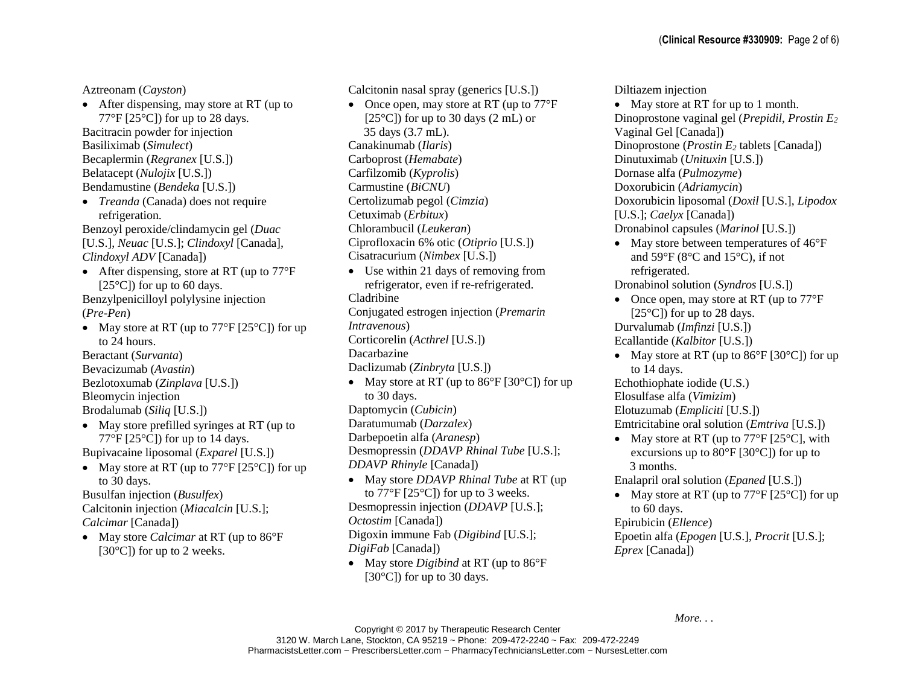Aztreonam (*Cayston*)

- After dispensing, may store at RT (up to 77°F [25°C]) for up to 28 days. Bacitracin powder for injection Basiliximab (*Simulect*) Becaplermin (*Regranex* [U.S.]) Belatacept (*Nulojix* [U.S.]) Bendamustine (*Bendeka* [U.S.])
- *Treanda* (Canada) does not require refrigeration.
- Benzoyl peroxide/clindamycin gel (*Duac* [U.S.], *Neuac* [U.S.]; *Clindoxyl* [Canada]*, Clindoxyl ADV* [Canada])
- After dispensing, store at RT (up to  $77^{\circ}$ F) [ $25^{\circ}$ C]) for up to 60 days. Benzylpenicilloyl polylysine injection

## (*Pre-Pen*)

• May store at RT (up to  $77^{\circ}$ F [25 $^{\circ}$ C]) for up to 24 hours.

Beractant (*Survanta*) Bevacizumab (*Avastin*) Bezlotoxumab (*Zinplava* [U.S.]) Bleomycin injection Brodalumab (*Siliq* [U.S.])

• May store prefilled syringes at RT (up to 77°F  $[25^{\circ}\text{C}]$  for up to 14 days.

Bupivacaine liposomal (*Exparel* [U.S.])

• May store at RT (up to  $77^{\circ}$ F [25 $^{\circ}$ C]) for up to 30 days.

Busulfan injection (*Busulfex*) Calcitonin injection (*Miacalcin* [U.S.]; *Calcimar* [Canada])

• May store *Calcimar* at RT (up to 86°F  $[30^{\circ}$ C]) for up to 2 weeks.

Calcitonin nasal spray (generics [U.S.])

- Once open, may store at RT (up to  $77^{\circ}$ F)  $[25^{\circ}\text{C}]$ ) for up to 30 days (2 mL) or 35 days (3.7 mL). Canakinumab (*Ilaris*) Carboprost (*Hemabate*) Carfilzomib (*Kyprolis*) Carmustine (*BiCNU*) Certolizumab pegol (*Cimzia*) Cetuximab (*Erbitux*) Chlorambucil (*Leukeran*) Ciprofloxacin 6% otic (*Otiprio* [U.S.]) Cisatracurium (*Nimbex* [U.S.])
- Use within 21 days of removing from refrigerator, even if re-refrigerated.
- Cladribine

Conjugated estrogen injection (*Premarin*

*Intravenous*)

Corticorelin (*Acthrel* [U.S.])

Dacarbazine

Daclizumab (*Zinbryta* [U.S.])

- May store at RT (up to  $86^{\circ}$ F [30 $^{\circ}$ C]) for up to 30 days.
- Daptomycin (*Cubicin*)
- Daratumumab (*Darzalex*)
- Darbepoetin alfa (*Aranesp*)

Desmopressin (*DDAVP Rhinal Tube* [U.S.]; *DDAVP Rhinyle* [Canada])

- May store *DDAVP Rhinal Tube* at RT (up to  $77^{\circ}$ F [25 $^{\circ}$ C]) for up to 3 weeks. Desmopressin injection (*DDAVP* [U.S.]; *Octostim* [Canada]) Digoxin immune Fab (*Digibind* [U.S.]; *DigiFab* [Canada])
- May store *Digibind* at RT (up to 86°F) [ $30^{\circ}$ C]) for up to 30 days.

Diltiazem injection

- May store at RT for up to 1 month. Dinoprostone vaginal gel (*Prepidil*, *Prostin E<sup>2</sup>* Vaginal Gel [Canada]) Dinoprostone (*Prostin E<sup>2</sup>* tablets [Canada]) Dinutuximab (*Unituxin* [U.S.]) Dornase alfa (*Pulmozyme*) Doxorubicin (*Adriamycin*) Doxorubicin liposomal (*Doxil* [U.S.], *Lipodox* [U.S.]; *Caelyx* [Canada]) Dronabinol capsules (*Marinol* [U.S.])
- May store between temperatures of  $46^{\circ}$ F and 59°F (8°C and 15°C), if not refrigerated.

Dronabinol solution (*Syndros* [U.S.])

- Once open, may store at RT (up to  $77^{\circ}$ F) [ $25^{\circ}$ C]) for up to 28 days. Durvalumab (*Imfinzi* [U.S.]) Ecallantide (*Kalbitor* [U.S.])
- May store at RT (up to  $86^{\circ}$ F [30 $^{\circ}$ C]) for up to 14 days.

Echothiophate iodide (U.S.)

Elosulfase alfa (*Vimizim*)

Elotuzumab (*Empliciti* [U.S.])

Emtricitabine oral solution (*Emtriva* [U.S.])

• May store at RT (up to  $77^{\circ}$ F [25 $^{\circ}$ C], with excursions up to  $80^{\circ}$ F [30 $^{\circ}$ C]) for up to 3 months.

Enalapril oral solution (*Epaned* [U.S.])

• May store at RT (up to  $77^{\circ}$ F [25<sup>°</sup>C]) for up to 60 days.

Epirubicin (*Ellence*) Epoetin alfa (*Epogen* [U.S.], *Procrit* [U.S.]; *Eprex* [Canada])

*More. . .*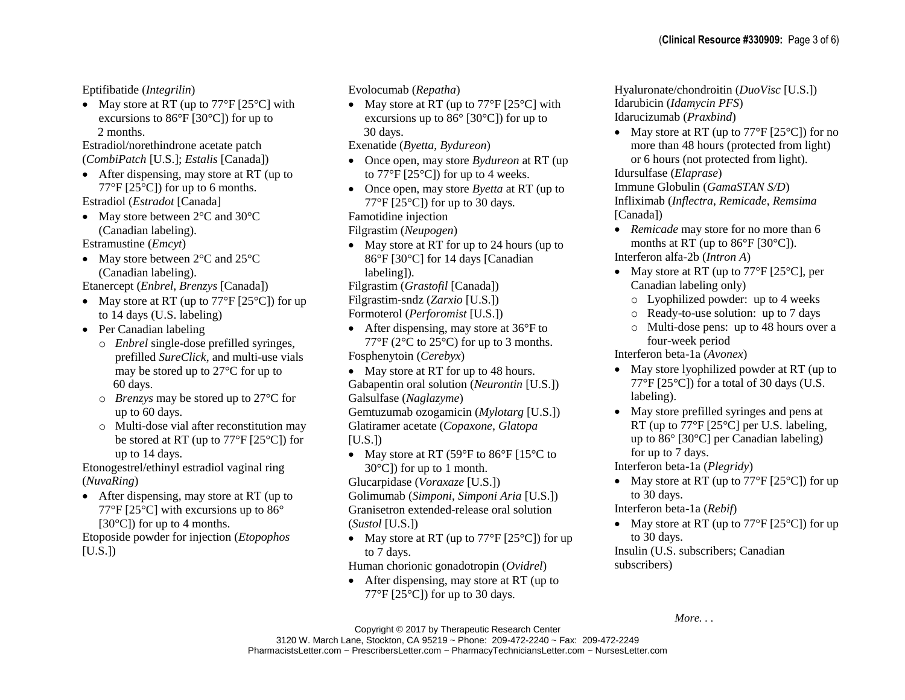Eptifibatide (*Integrilin*)

• May store at RT (up to  $77^{\circ}$ F [25 $^{\circ}$ C] with excursions to  $86^{\circ}$ F [30 $^{\circ}$ C]) for up to 2 months.

Estradiol/norethindrone acetate patch (*CombiPatch* [U.S.]; *Estalis* [Canada])

• After dispensing, may store at RT (up to 77°F  $[25^{\circ}\text{C}]$  for up to 6 months.

Estradiol (*Estradot* [Canada]

• May store between  $2^{\circ}$ C and  $30^{\circ}$ C (Canadian labeling).

Estramustine (*Emcyt*)

• May store between 2<sup>o</sup>C and 25<sup>o</sup>C (Canadian labeling).

Etanercept (*Enbrel*, *Brenzys* [Canada])

- May store at RT (up to  $77^{\circ}$ F [25 $^{\circ}$ C]) for up to 14 days (U.S. labeling)
- Per Canadian labeling
	- o *Enbrel* single-dose prefilled syringes, prefilled *SureClick*, and multi-use vials may be stored up to 27°C for up to 60 days.
	- o *Brenzys* may be stored up to 27°C for up to 60 days.
	- o Multi-dose vial after reconstitution may be stored at RT (up to 77°F [25°C]) for up to 14 days.

Etonogestrel/ethinyl estradiol vaginal ring (*NuvaRing*)

• After dispensing, may store at RT (up to 77°F [25°C] with excursions up to 86° [30°C]) for up to 4 months.

Etoposide powder for injection (*Etopophos*  $[U.S.]$ 

Evolocumab (*Repatha*)

• May store at RT (up to  $77^{\circ}$ F [25<sup>o</sup>C] with excursions up to  $86^{\circ}$  [30 $^{\circ}$ C]) for up to 30 days.

Exenatide (*Byetta*, *Bydureon*)

- Once open, may store *Bydureon* at RT (up to  $77^{\circ}$ F [25 $^{\circ}$ C]) for up to 4 weeks.
- Once open, may store *Byetta* at RT (up to 77°F  $[25^{\circ}\text{C}]$  for up to 30 days.

Famotidine injection

Filgrastim (*Neupogen*)

• May store at RT for up to 24 hours (up to 86°F [30°C] for 14 days [Canadian labeling]).

Filgrastim (*Grastofil* [Canada])

Filgrastim-sndz (*Zarxio* [U.S.])

Formoterol (*Perforomist* [U.S.])

- After dispensing, may store at 36°F to 77°F (2°C to 25°C) for up to 3 months. Fosphenytoin (*Cerebyx*)
- May store at RT for up to 48 hours. Gabapentin oral solution (*Neurontin* [U.S.]) Galsulfase (*Naglazyme*)

Gemtuzumab ozogamicin (*Mylotarg* [U.S.]) Glatiramer acetate (*Copaxone*, *Glatopa*  $[U.S.]$ 

• May store at RT (59 $\degree$ F to 86 $\degree$ F [15 $\degree$ C to  $30^{\circ}$ C]) for up to 1 month.

Glucarpidase (*Voraxaze* [U.S.]) Golimumab (*Simponi*, *Simponi Aria* [U.S.]) Granisetron extended-release oral solution (*Sustol* [U.S.])

• May store at RT (up to  $77^{\circ}$ F [25<sup>°</sup>C]) for up to 7 days.

Human chorionic gonadotropin (*Ovidrel*)

• After dispensing, may store at RT (up to  $77^{\circ}$ F [25 $^{\circ}$ C]) for up to 30 days.

Hyaluronate/chondroitin (*DuoVisc* [U.S.]) Idarubicin (*Idamycin PFS*) Idarucizumab (*Praxbind*)

• May store at RT (up to  $77^{\circ}$ F [25<sup>o</sup>C]) for no more than 48 hours (protected from light) or 6 hours (not protected from light). Idursulfase (*Elaprase*)

Immune Globulin (*GamaSTAN S/D*) Infliximab (*Inflectra*, *Remicade*, *Remsima* [Canada])

- *Remicade* may store for no more than 6 months at RT (up to 86°F [30°C]). Interferon alfa-2b (*Intron A*)
- May store at RT (up to  $77^{\circ}$ F [25<sup>°</sup>C], per Canadian labeling only)
	- o Lyophilized powder: up to 4 weeks
	- o Ready-to-use solution: up to 7 days
	- o Multi-dose pens: up to 48 hours over a four-week period

Interferon beta-1a (*Avonex*)

- May store lyophilized powder at RT (up to  $77^{\circ}$ F [25 $^{\circ}$ C]) for a total of 30 days (U.S. labeling).
- May store prefilled syringes and pens at RT (up to 77°F [25°C] per U.S. labeling, up to 86° [30°C] per Canadian labeling) for up to 7 days.

Interferon beta-1a (*Plegridy*)

• May store at RT (up to  $77^{\circ}$ F [25<sup>°</sup>C]) for up to 30 days.

Interferon beta-1a (*Rebif*)

• May store at RT (up to  $77^{\circ}$ F [25 $^{\circ}$ C]) for up to 30 days.

Insulin (U.S. subscribers; Canadian subscribers)

*More. . .*

Copyright © 2017 by Therapeutic Research Center 3120 W. March Lane, Stockton, CA 95219 ~ Phone: 209-472-2240 ~ Fax: 209-472-2249 PharmacistsLetter.com ~ PrescribersLetter.com ~ PharmacyTechniciansLetter.com ~ NursesLetter.com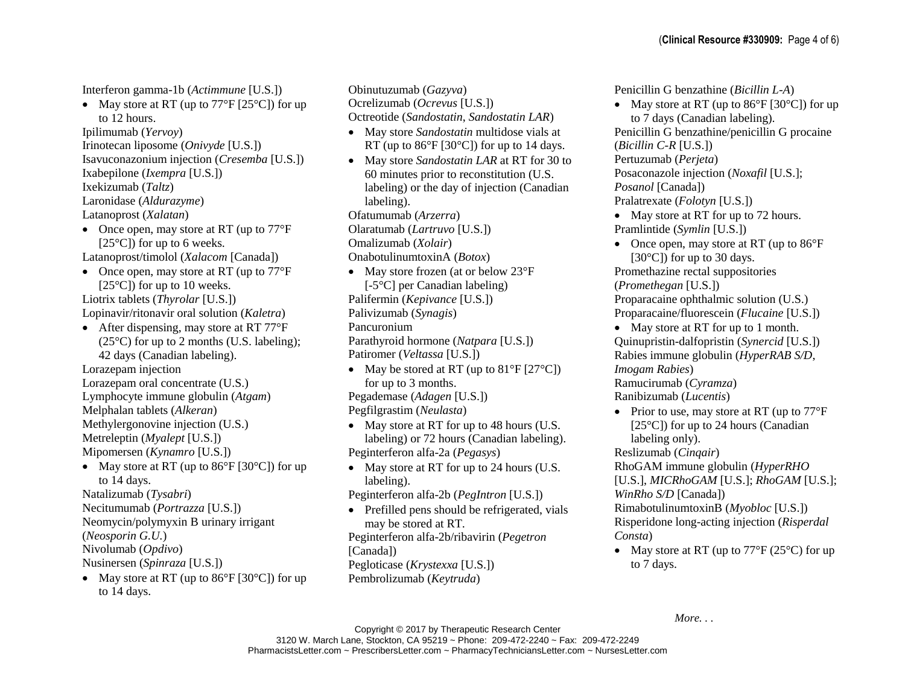Interferon gamma-1b (*Actimmune* [U.S.])

• May store at RT (up to  $77^{\circ}$ F [25 $^{\circ}$ C]) for up to 12 hours.

Ipilimumab (*Yervoy*)

Irinotecan liposome (*Onivyde* [U.S.])

Isavuconazonium injection (*Cresemba* [U.S.])

Ixabepilone (*Ixempra* [U.S.])

Ixekizumab (*Taltz*) Laronidase (*Aldurazyme*)

Latanoprost (*Xalatan*)

- Once open, may store at RT (up to  $77^{\circ}$ F) [ $25^{\circ}$ C]) for up to 6 weeks.
- Latanoprost/timolol (*Xalacom* [Canada])
- Once open, may store at RT (up to  $77^{\circ}$ F)  $[25^{\circ}\text{C}]$ ) for up to 10 weeks. Liotrix tablets (*Thyrolar* [U.S.])

Lopinavir/ritonavir oral solution (*Kaletra*)

- After dispensing, may store at RT 77°F  $(25^{\circ}$ C) for up to 2 months (U.S. labeling): 42 days (Canadian labeling). Lorazepam injection Lorazepam oral concentrate (U.S.) Lymphocyte immune globulin (*Atgam*) Melphalan tablets (*Alkeran*) Methylergonovine injection (U.S.) Metreleptin (*Myalept* [U.S.]) Mipomersen (*Kynamro* [U.S.])
- May store at RT (up to  $86^{\circ}$ F [30 $^{\circ}$ C]) for up to 14 days.

Natalizumab (*Tysabri*) Necitumumab (*Portrazza* [U.S.]) Neomycin/polymyxin B urinary irrigant (*Neosporin G.U.*) Nivolumab (*Opdivo*)

Nusinersen (*Spinraza* [U.S.])

• May store at RT (up to  $86^{\circ}F$  [30 $^{\circ}C$ ]) for up to 14 days.

Obinutuzumab (*Gazyva*) Ocrelizumab (*Ocrevus* [U.S.]) Octreotide (*Sandostatin*, *Sandostatin LAR*) • May store *Sandostatin* multidose vials at RT (up to  $86^{\circ}$ F [30 $^{\circ}$ C]) for up to 14 days. • May store *Sandostatin LAR* at RT for 30 to 60 minutes prior to reconstitution (U.S. labeling) or the day of injection (Canadian

labeling). Ofatumumab (*Arzerra*)

Olaratumab (*Lartruvo* [U.S.])

Omalizumab (*Xolair*)

OnabotulinumtoxinA (*Botox*)

- May store frozen (at or below 23°F) [-5°C] per Canadian labeling) Palifermin (*Kepivance* [U.S.]) Palivizumab (*Synagis*)
- Pancuronium

Parathyroid hormone (*Natpara* [U.S.]) Patiromer (*Veltassa* [U.S.])

• May be stored at RT (up to  $81^{\circ}$ F [27<sup>o</sup>C]) for up to 3 months.

Pegademase (*Adagen* [U.S.])

Pegfilgrastim (*Neulasta*)

- May store at RT for up to 48 hours (U.S. labeling) or 72 hours (Canadian labeling). Peginterferon alfa-2a (*Pegasys*)
- May store at RT for up to 24 hours (U.S. labeling).
- Peginterferon alfa-2b (*PegIntron* [U.S.])
- Prefilled pens should be refrigerated, vials may be stored at RT.

Peginterferon alfa-2b/ribavirin (*Pegetron* [Canada])

Pegloticase (*Krystexxa* [U.S.])

Pembrolizumab (*Keytruda*)

(**Clinical Resource #330909:** Page 4 of 6)

Penicillin G benzathine (*Bicillin L-A*) • May store at RT (up to  $86^{\circ}$ F [30 $^{\circ}$ C]) for up to 7 days (Canadian labeling). Penicillin G benzathine/penicillin G procaine (*Bicillin C-R* [U.S.]) Pertuzumab (*Perjeta*) Posaconazole injection (*Noxafil* [U.S.]; *Posanol* [Canada]) Pralatrexate (*Folotyn* [U.S.]) • May store at RT for up to 72 hours. Pramlintide (*Symlin* [U.S.]) • Once open, may store at RT (up to  $86^{\circ}$ F) [ $30^{\circ}$ C]) for up to 30 days. Promethazine rectal suppositories (*Promethegan* [U.S.]) Proparacaine ophthalmic solution (U.S.) Proparacaine/fluorescein (*Flucaine* [U.S.]) • May store at RT for up to 1 month. Quinupristin-dalfopristin (*Synercid* [U.S.]) Rabies immune globulin (*HyperRAB S/D*, *Imogam Rabies*) Ramucirumab (*Cyramza*) Ranibizumab (*Lucentis*) • Prior to use, may store at RT (up to  $77^{\circ}$ F) [ $25^{\circ}$ C]) for up to 24 hours (Canadian labeling only). Reslizumab (*Cinqair*) RhoGAM immune globulin (*HyperRHO* [U.S.], *MICRhoGAM* [U.S.]; *RhoGAM* [U.S.]; *WinRho S/D* [Canada]) RimabotulinumtoxinB (*Myobloc* [U.S.])

Risperidone long-acting injection (*Risperdal Consta*)

• May store at RT (up to  $77^{\circ}F(25^{\circ}C)$  for up to 7 days.

*More. . .*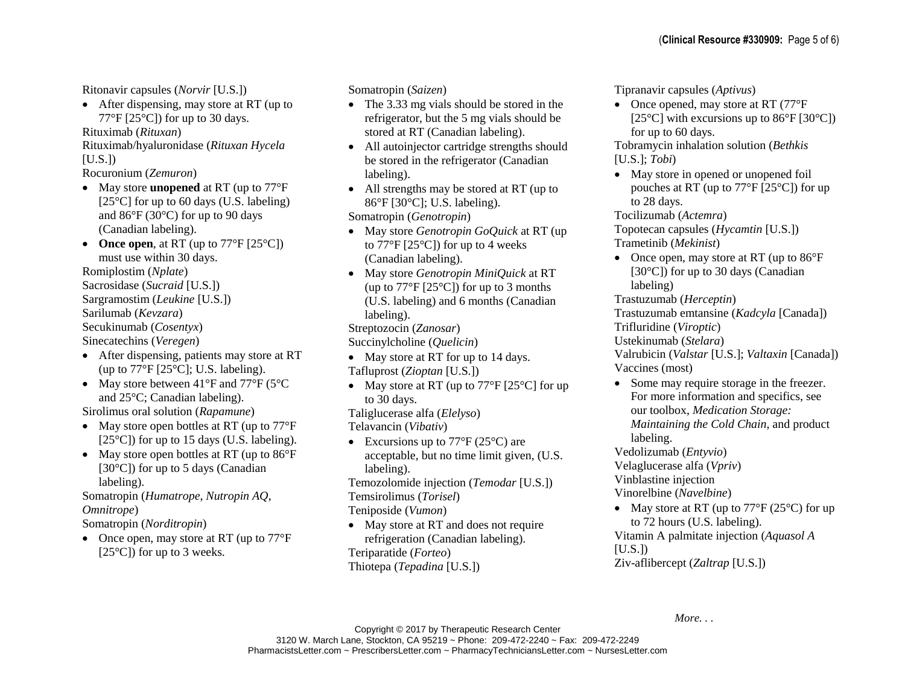Ritonavir capsules (*Norvir* [U.S.])

• After dispensing, may store at RT (up to  $77^{\circ}$ F [25 $^{\circ}$ Cl) for up to 30 days.

Rituximab (*Rituxan*)

Rituximab/hyaluronidase (*Rituxan Hycela*  $[U.S.]$ 

Rocuronium (*Zemuron*)

- May store **unopened** at RT (up to 77°F [ $25^{\circ}$ C] for up to 60 days (U.S. labeling) and 86°F (30°C) for up to 90 days (Canadian labeling).
- **Once open**, at RT (up to  $77^{\circ}F$  [25 $^{\circ}C$ ]) must use within 30 days. Romiplostim (*Nplate*) Sacrosidase (*Sucraid* [U.S.]) Sargramostim (*Leukine* [U.S.])

Sarilumab (*Kevzara*)

Secukinumab (*Cosentyx*)

Sinecatechins (*Veregen*)

- After dispensing, patients may store at RT (up to  $77^{\circ}F$  [25 $^{\circ}C$ ]; U.S. labeling).
- May store between 41°F and 77°F (5°C) and 25°C; Canadian labeling).

Sirolimus oral solution (*Rapamune*)

- May store open bottles at RT (up to  $77^{\circ}$ F)  $[25^{\circ}\text{C}]$ ) for up to 15 days (U.S. labeling).
- May store open bottles at RT (up to  $86^{\circ}$ F) [30°C]) for up to 5 days (Canadian labeling).

Somatropin (*Humatrope*, *Nutropin AQ*, *Omnitrope*)

Somatropin (*Norditropin*)

• Once open, may store at RT (up to  $77^{\circ}$ F)  $[25^{\circ}\text{C}]$ ) for up to 3 weeks.

Somatropin (*Saizen*)

- The 3.33 mg vials should be stored in the refrigerator, but the 5 mg vials should be stored at RT (Canadian labeling).
- All autoinjector cartridge strengths should be stored in the refrigerator (Canadian labeling).
- All strengths may be stored at RT (up to 86°F [30°C]; U.S. labeling).
- Somatropin (*Genotropin*)
- May store *Genotropin GoQuick* at RT (up to  $77^{\circ}$ F [25 $^{\circ}$ C]) for up to 4 weeks (Canadian labeling).
- May store *Genotropin MiniQuick* at RT (up to 77°F [25°C]) for up to 3 months (U.S. labeling) and 6 months (Canadian labeling).

Streptozocin (*Zanosar*)

Succinylcholine (*Quelicin*)

- May store at RT for up to 14 days. Tafluprost (*Zioptan* [U.S.])
- May store at RT (up to  $77^{\circ}$ F [25<sup>o</sup>C] for up to 30 days.

Taliglucerase alfa (*Elelyso*)

Telavancin (*Vibativ*)

• Excursions up to  $77^{\circ}F(25^{\circ}C)$  are acceptable, but no time limit given, (U.S. labeling).

Temozolomide injection (*Temodar* [U.S.]) Temsirolimus (*Torisel*)

- Teniposide (*Vumon*)
- May store at RT and does not require refrigeration (Canadian labeling). Teriparatide (*Forteo*) Thiotepa (*Tepadina* [U.S.])

Tipranavir capsules (*Aptivus*)

• Once opened, may store at RT (77°F) [ $25^{\circ}$ C] with excursions up to  $86^{\circ}$ F [ $30^{\circ}$ C]) for up to 60 days.

Tobramycin inhalation solution (*Bethkis* [U.S.]; *Tobi*)

• May store in opened or unopened foil pouches at RT (up to 77°F [25°C]) for up to 28 days.

Tocilizumab (*Actemra*)

Topotecan capsules (*Hycamtin* [U.S.]) Trametinib (*Mekinist*)

• Once open, may store at RT (up to  $86^{\circ}$ F) [30°C]) for up to 30 days (Canadian labeling)

Trastuzumab (*Herceptin*) Trastuzumab emtansine (*Kadcyla* [Canada]) Trifluridine (*Viroptic*)

Ustekinumab (*Stelara*)

Valrubicin (*Valstar* [U.S.]; *Valtaxin* [Canada]) Vaccines (most)

- Some may require storage in the freezer. For more information and specifics, see our toolbox, *Medication Storage: Maintaining the Cold Chain*, and product labeling.
- Vedolizumab (*Entyvio*)

Velaglucerase alfa (*Vpriv*)

Vinblastine injection

Vinorelbine (*Navelbine*)

• May store at RT (up to  $77^{\circ}F(25^{\circ}C)$  for up to 72 hours (U.S. labeling). Vitamin A palmitate injection (*Aquasol A*

 $[U.S.]$ 

Ziv-aflibercept (*Zaltrap* [U.S.])

*More. . .*